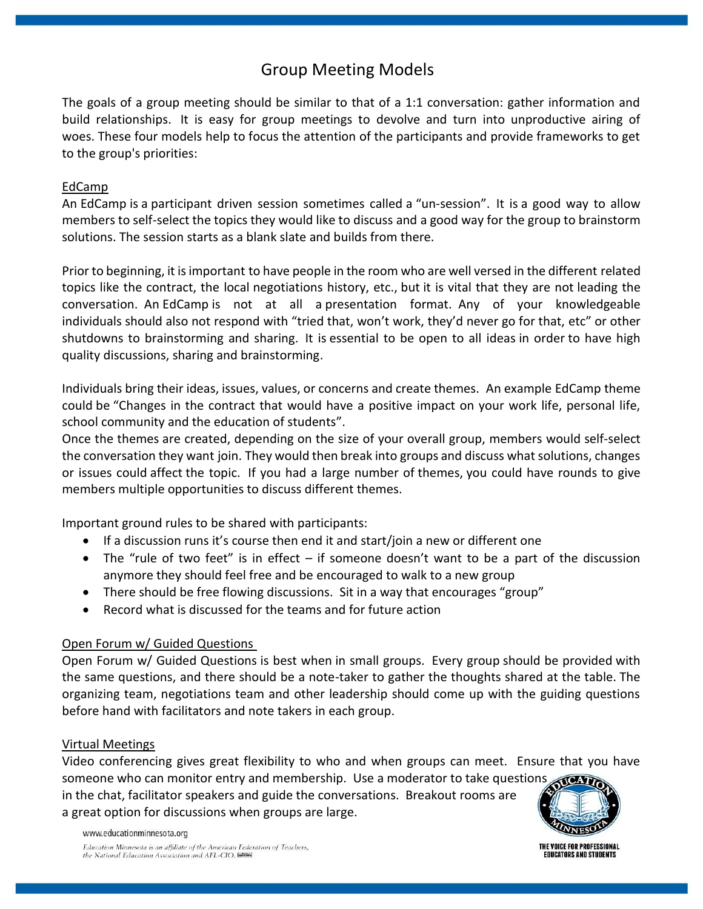# Group Meeting Models

The goals of a group meeting should be similar to that of a 1:1 conversation: gather information and build relationships.  It is easy for group meetings to devolve and turn into unproductive airing of woes. These four models help to focus the attention of the participants and provide frameworks to get to the group's priorities:

## EdCamp

An EdCamp is a participant driven session sometimes called a "un-session". It is a good way to allow members to self-select the topics they would like to discuss and a good way for the group to brainstorm solutions. The session starts as a blank slate and builds from there.

Prior to beginning, it is important to have people in the room who are well versed in the different related topics like the contract, the local negotiations history, etc., but it is vital that they are not leading the conversation. An EdCamp is not at all a presentation format. Any of your knowledgeable individuals should also not respond with "tried that, won't work, they'd never go for that, etc" or other shutdowns to brainstorming and sharing. It is essential to be open to all ideas in order to have high quality discussions, sharing and brainstorming.

Individuals bring their ideas, issues, values, or concerns and create themes. An example EdCamp theme could be "Changes in the contract that would have a positive impact on your work life, personal life, school community and the education of students".

Once the themes are created, depending on the size of your overall group, members would self-select the conversation they want join. They would then break into groups and discuss what solutions, changes or issues could affect the topic. If you had a large number of themes, you could have rounds to give members multiple opportunities to discuss different themes.

Important ground rules to be shared with participants:

- If a discussion runs it's course then end it and start/join a new or different one
- The "rule of two feet" is in effect if someone doesn't want to be a part of the discussion anymore they should feel free and be encouraged to walk to a new group
- There should be free flowing discussions. Sit in a way that encourages "group"
- Record what is discussed for the teams and for future action

## Open Forum w/ Guided Questions

Open Forum w/ Guided Questions is best when in small groups.  Every group should be provided with the same questions, and there should be a note-taker to gather the thoughts shared at the table. The organizing team, negotiations team and other leadership should come up with the guiding questions before hand with facilitators and note takers in each group.

## Virtual Meetings

www.educationminnesota.org

Video conferencing gives great flexibility to who and when groups can meet. Ensure that you have someone who can monitor entry and membership. Use a moderator to take questions in the chat, facilitator speakers and guide the conversations. Breakout rooms are a great option for discussions when groups are large.



Education Minnesota is an affiliate of the American Federation of Teachers, the National Education Association and AFL-CIO.

THE VOICE FOR PROFESSIONAL **EDUCATORS AND STUDENTS**